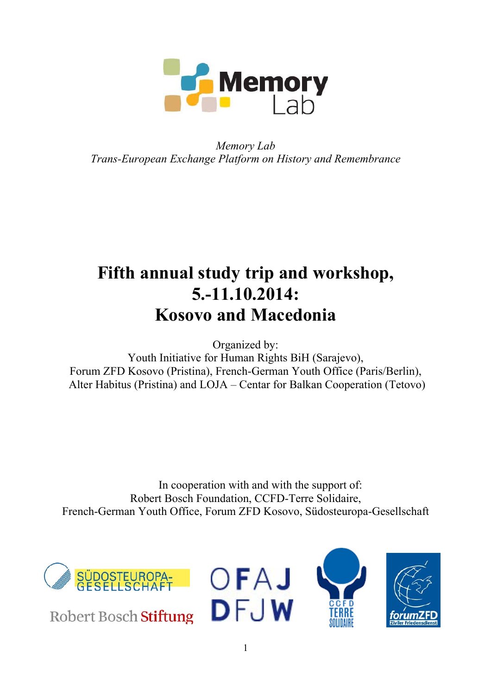

*Memory Lab Trans-European Exchange Platform on History and Remembrance* 

# **Fifth annual study trip and workshop, 5.-11.10.2014: Kosovo and Macedonia**

Organized by:

Youth Initiative for Human Rights BiH (Sarajevo), Forum ZFD Kosovo (Pristina), French-German Youth Office (Paris/Berlin), Alter Habitus (Pristina) and LOJA – Centar for Balkan Cooperation (Tetovo)

In cooperation with and with the support of: Robert Bosch Foundation, CCFD-Terre Solidaire, French-German Youth Office, Forum ZFD Kosovo, Südosteuropa-Gesellschaft



Robert Bosch Stiftung





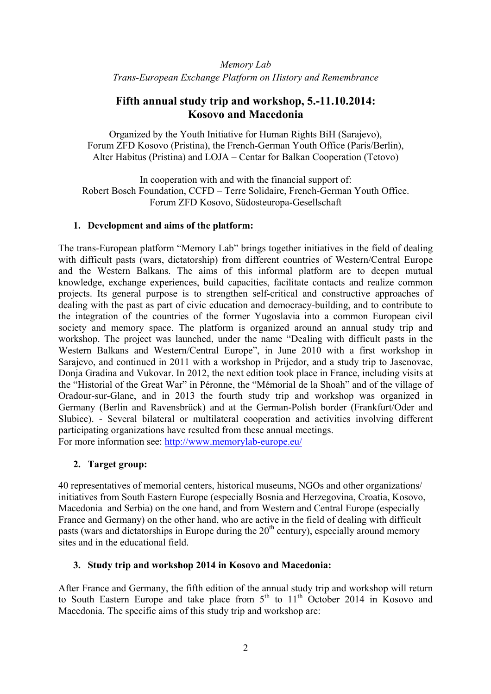*Memory Lab Trans-European Exchange Platform on History and Remembrance* 

# **Fifth annual study trip and workshop, 5.-11.10.2014: Kosovo and Macedonia**

Organized by the Youth Initiative for Human Rights BiH (Sarajevo), Forum ZFD Kosovo (Pristina), the French-German Youth Office (Paris/Berlin), Alter Habitus (Pristina) and LOJA – Centar for Balkan Cooperation (Tetovo)

In cooperation with and with the financial support of: Robert Bosch Foundation, CCFD – Terre Solidaire, French-German Youth Office. Forum ZFD Kosovo, Südosteuropa-Gesellschaft

#### **1. Development and aims of the platform:**

The trans-European platform "Memory Lab" brings together initiatives in the field of dealing with difficult pasts (wars, dictatorship) from different countries of Western/Central Europe and the Western Balkans. The aims of this informal platform are to deepen mutual knowledge, exchange experiences, build capacities, facilitate contacts and realize common projects. Its general purpose is to strengthen self-critical and constructive approaches of dealing with the past as part of civic education and democracy-building, and to contribute to the integration of the countries of the former Yugoslavia into a common European civil society and memory space. The platform is organized around an annual study trip and workshop. The project was launched, under the name "Dealing with difficult pasts in the Western Balkans and Western/Central Europe", in June 2010 with a first workshop in Sarajevo, and continued in 2011 with a workshop in Prijedor, and a study trip to Jasenovac, Donja Gradina and Vukovar. In 2012, the next edition took place in France, including visits at the "Historial of the Great War" in Péronne, the "Mémorial de la Shoah" and of the village of Oradour-sur-Glane, and in 2013 the fourth study trip and workshop was organized in Germany (Berlin and Ravensbrück) and at the German-Polish border (Frankfurt/Oder and Slubice). - Several bilateral or multilateral cooperation and activities involving different participating organizations have resulted from these annual meetings. For more information see: http://www.memorylab-europe.eu/

#### **2. Target group:**

40 representatives of memorial centers, historical museums, NGOs and other organizations/ initiatives from South Eastern Europe (especially Bosnia and Herzegovina, Croatia, Kosovo, Macedonia and Serbia) on the one hand, and from Western and Central Europe (especially France and Germany) on the other hand, who are active in the field of dealing with difficult pasts (wars and dictatorships in Europe during the  $20<sup>th</sup>$  century), especially around memory sites and in the educational field.

#### **3. Study trip and workshop 2014 in Kosovo and Macedonia:**

After France and Germany, the fifth edition of the annual study trip and workshop will return to South Eastern Europe and take place from  $5<sup>th</sup>$  to  $11<sup>th</sup>$  October 2014 in Kosovo and Macedonia. The specific aims of this study trip and workshop are: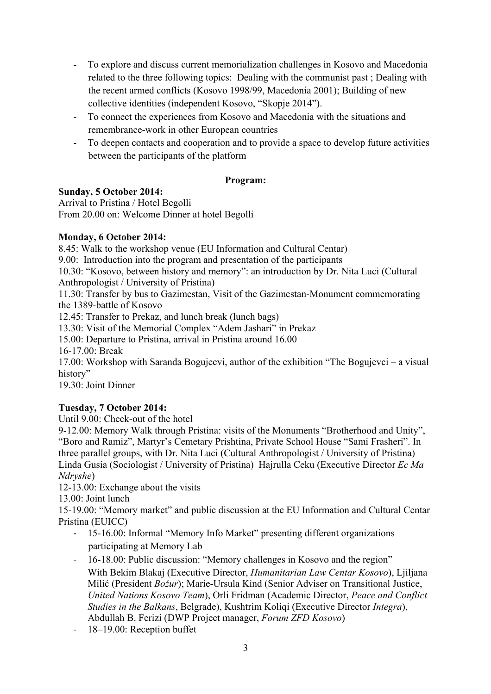- To explore and discuss current memorialization challenges in Kosovo and Macedonia related to the three following topics: Dealing with the communist past ; Dealing with the recent armed conflicts (Kosovo 1998/99, Macedonia 2001); Building of new collective identities (independent Kosovo, "Skopje 2014").
- To connect the experiences from Kosovo and Macedonia with the situations and remembrance-work in other European countries
- To deepen contacts and cooperation and to provide a space to develop future activities between the participants of the platform

#### **Program:**

# **Sunday, 5 October 2014:**

Arrival to Pristina / Hotel Begolli From 20.00 on: Welcome Dinner at hotel Begolli

# **Monday, 6 October 2014:**

8.45: Walk to the workshop venue (EU Information and Cultural Centar)

9.00: Introduction into the program and presentation of the participants

10.30: "Kosovo, between history and memory": an introduction by Dr. Nita Luci (Cultural Anthropologist / University of Pristina)

11.30: Transfer by bus to Gazimestan, Visit of the Gazimestan-Monument commemorating the 1389-battle of Kosovo

12.45: Transfer to Prekaz, and lunch break (lunch bags)

13.30: Visit of the Memorial Complex "Adem Jashari" in Prekaz

15.00: Departure to Pristina, arrival in Pristina around 16.00

16-17.00: Break

17.00: Workshop with Saranda Bogujecvi, author of the exhibition "The Bogujevci – a visual history"

19.30: Joint Dinner

# **Tuesday, 7 October 2014:**

Until 9.00: Check-out of the hotel

9-12.00: Memory Walk through Pristina: visits of the Monuments "Brotherhood and Unity", "Boro and Ramiz", Martyr's Cemetary Prishtina, Private School House "Sami Frasheri". In three parallel groups, with Dr. Nita Luci (Cultural Anthropologist / University of Pristina) Linda Gusia (Sociologist / University of Pristina) Hajrulla Ceku (Executive Director *Ec Ma Ndryshe*)

12-13.00: Exchange about the visits

13.00: Joint lunch

15-19.00: "Memory market" and public discussion at the EU Information and Cultural Centar Pristina (EUICC)

- ‐ 15-16.00: Informal "Memory Info Market" presenting different organizations participating at Memory Lab
- ‐ 16-18.00: Public discussion: "Memory challenges in Kosovo and the region" With Bekim Blakaj (Executive Director, *Humanitarian Law Centar Kosovo*), Ljiljana Milić (President *Božur*); Marie-Ursula Kind (Senior Adviser on Transitional Justice, *United Nations Kosovo Team*), Orli Fridman (Academic Director, *Peace and Conflict Studies in the Balkans*, Belgrade), Kushtrim Koliqi (Executive Director *Integra*), Abdullah B. Ferizi (DWP Project manager, *Forum ZFD Kosovo*)
- ‐ 18–19.00: Reception buffet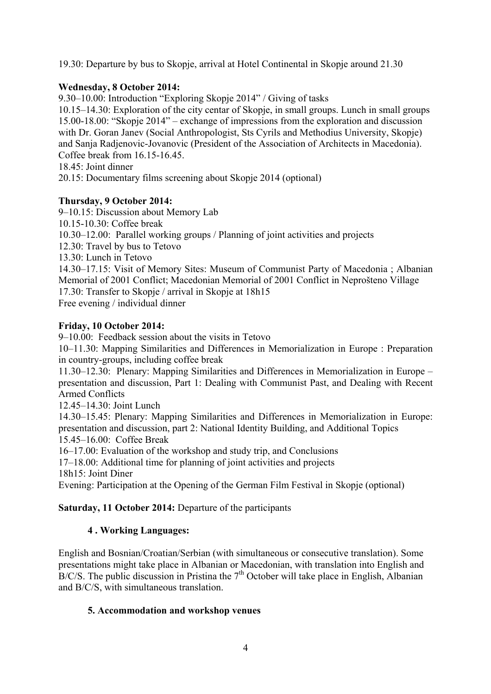19.30: Departure by bus to Skopje, arrival at Hotel Continental in Skopje around 21.30

#### **Wednesday, 8 October 2014:**

9.30–10.00: Introduction "Exploring Skopje 2014" / Giving of tasks

10.15–14.30: Exploration of the city centar of Skopje, in small groups. Lunch in small groups 15.00-18.00: "Skopje 2014" – exchange of impressions from the exploration and discussion with Dr. Goran Janev (Social Anthropologist, Sts Cyrils and Methodius University, Skopje) and Sanja Radjenovic-Jovanovic (President of the Association of Architects in Macedonia). Coffee break from 16.15-16.45.

18.45: Joint dinner

20.15: Documentary films screening about Skopje 2014 (optional)

#### **Thursday, 9 October 2014:**

9–10.15: Discussion about Memory Lab 10.15-10.30: Coffee break 10.30–12.00: Parallel working groups / Planning of joint activities and projects 12.30: Travel by bus to Tetovo 13.30: Lunch in Tetovo 14.30–17.15: Visit of Memory Sites: Museum of Communist Party of Macedonia ; Albanian Memorial of 2001 Conflict; Macedonian Memorial of 2001 Conflict in Neprošteno Village 17.30: Transfer to Skopje / arrival in Skopje at 18h15 Free evening / individual dinner

#### **Friday, 10 October 2014:**

9–10.00: Feedback session about the visits in Tetovo

10–11.30: Mapping Similarities and Differences in Memorialization in Europe : Preparation in country-groups, including coffee break

11.30–12.30: Plenary: Mapping Similarities and Differences in Memorialization in Europe – presentation and discussion, Part 1: Dealing with Communist Past, and Dealing with Recent Armed Conflicts

 $12.45 - 14.30$  Joint Lunch

14.30–15.45: Plenary: Mapping Similarities and Differences in Memorialization in Europe: presentation and discussion, part 2: National Identity Building, and Additional Topics 15.45–16.00: Coffee Break

16–17.00: Evaluation of the workshop and study trip, and Conclusions

17–18.00: Additional time for planning of joint activities and projects

18h15: Joint Diner

Evening: Participation at the Opening of the German Film Festival in Skopje (optional)

# **Saturday, 11 October 2014:** Departure of the participants

# **4 . Working Languages:**

English and Bosnian/Croatian/Serbian (with simultaneous or consecutive translation). Some presentations might take place in Albanian or Macedonian, with translation into English and  $B/C/S$ . The public discussion in Pristina the  $7<sup>th</sup>$  October will take place in English. Albanian and B/C/S, with simultaneous translation.

#### **5. Accommodation and workshop venues**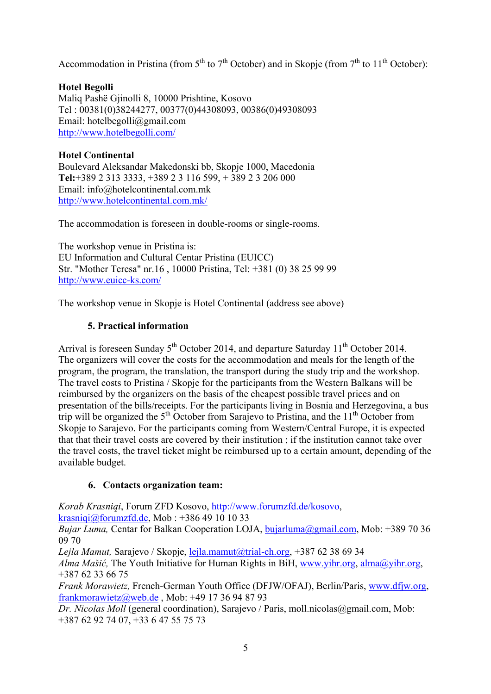Accommodation in Pristina (from  $5<sup>th</sup>$  to  $7<sup>th</sup>$  October) and in Skopje (from  $7<sup>th</sup>$  to  $11<sup>th</sup>$  October):

# **Hotel Begolli**

Maliq Pashë Gjinolli 8, 10000 Prishtine, Kosovo Tel : 00381(0)38244277, 00377(0)44308093, 00386(0)49308093 Email: hotelbegolli@gmail.com http://www.hotelbegolli.com/

# **Hotel Continental**

Boulevard Aleksandar Makedonski bb, Skopje 1000, Macedonia **Tel:**+389 2 313 3333, +389 2 3 116 599, + 389 2 3 206 000 Email: info@hotelcontinental.com.mk http://www.hotelcontinental.com.mk/

The accommodation is foreseen in double-rooms or single-rooms.

The workshop venue in Pristina is: EU Information and Cultural Centar Pristina (EUICC) Str. "Mother Teresa" nr.16 , 10000 Pristina, Tel: +381 (0) 38 25 99 99 http://www.euicc-ks.com/

The workshop venue in Skopje is Hotel Continental (address see above)

# **5. Practical information**

Arrival is foreseen Sunday  $5<sup>th</sup>$  October 2014, and departure Saturday 11<sup>th</sup> October 2014. The organizers will cover the costs for the accommodation and meals for the length of the program, the program, the translation, the transport during the study trip and the workshop. The travel costs to Pristina / Skopje for the participants from the Western Balkans will be reimbursed by the organizers on the basis of the cheapest possible travel prices and on presentation of the bills/receipts. For the participants living in Bosnia and Herzegovina, a bus trip will be organized the  $5<sup>th</sup>$  October from Sarajevo to Pristina, and the  $11<sup>th</sup>$  October from Skopje to Sarajevo. For the participants coming from Western/Central Europe, it is expected that that their travel costs are covered by their institution ; if the institution cannot take over the travel costs, the travel ticket might be reimbursed up to a certain amount, depending of the available budget.

# **6. Contacts organization team:**

*Korab Krasniqi*, Forum ZFD Kosovo, http://www.forumzfd.de/kosovo,

krasniqi@forumzfd.de, Mob : +386 49 10 10 33

*Bujar Luma,* Centar for Balkan Cooperation LOJA, bujarluma@gmail.com, Mob: +389 70 36 09 70

*Lejla Mamut,* Sarajevo / Skopje, lejla.mamut@trial-ch.org, +387 62 38 69 34

*Alma Mašić,* The Youth Initiative for Human Rights in BiH, www.yihr.org, alma@yihr.org, +387 62 33 66 75

*Frank Morawietz,* French-German Youth Office (DFJW/OFAJ), Berlin/Paris, www.dfjw.org, frankmorawietz@web.de , Mob: +49 17 36 94 87 93

*Dr. Nicolas Moll* (general coordination), Sarajevo / Paris, moll.nicolas@gmail.com, Mob: +387 62 92 74 07, +33 6 47 55 75 73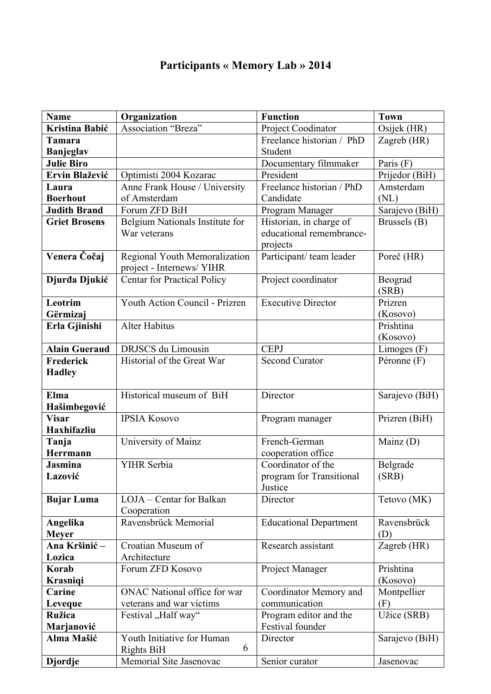# **Participants « Memory Lab » 2014**

| <b>Name</b>                | Organization                       | <b>Function</b>                          | <b>Town</b>       |
|----------------------------|------------------------------------|------------------------------------------|-------------------|
| Kristina Babić             | Association "Breza"                | Project Coodinator                       | Osijek (HR)       |
| Tamara                     |                                    | Freelance historian / PhD                | Zagreb (HR)       |
| <b>Banjeglav</b>           |                                    | Student                                  |                   |
| <b>Julie Biro</b>          |                                    | Documentary filmmaker                    | Paris $(F)$       |
| Ervin Blažević             | Optimisti 2004 Kozarac             | President                                | Prijedor (BiH)    |
| Laura                      | Anne Frank House / University      | Freelance historian / PhD                | Amsterdam         |
| <b>Boerhout</b>            | of Amsterdam                       | Candidate                                | (NL)              |
| <b>Judith Brand</b>        | Forum ZFD BiH                      | Program Manager                          | Sarajevo (BiH)    |
| <b>Griet Brosens</b>       | Belgium Nationals Institute for    | Historian, in charge of                  | Brussels (B)      |
|                            | War veterans                       | educational remembrance-                 |                   |
| Venera Čočaj               | Regional Youth Memoralization      | projects<br>Participant/team leader      | Poreč (HR)        |
|                            | project - Internews/ YIHR          |                                          |                   |
| Djurđa Djukić              | <b>Centar for Practical Policy</b> | Project coordinator                      | Beograd           |
|                            |                                    |                                          | (SRB)             |
| Leotrim                    | Youth Action Council - Prizren     | <b>Executive Director</b>                | Prizren           |
| Gërmizaj                   |                                    |                                          | (Kosovo)          |
| Erla Gjinishi              | <b>Alter Habitus</b>               |                                          | Prishtina         |
|                            |                                    |                                          | (Kosovo)          |
| <b>Alain Gueraud</b>       | DRJSCS du Limousin                 | <b>CEPJ</b>                              | Limoges (F)       |
| Frederick                  | Historial of the Great War         | <b>Second Curator</b>                    | Péronne (F)       |
| <b>Hadley</b>              |                                    |                                          |                   |
|                            |                                    |                                          |                   |
| Elma                       | Historical museum of BiH           | Director                                 | Sarajevo (BiH)    |
| Hašimbegović               |                                    |                                          |                   |
| <b>Visar</b>               | <b>IPSIA Kosovo</b>                | Program manager                          | Prizren (BiH)     |
| <b>Haxhifazliu</b>         |                                    |                                          |                   |
| Tanja                      | University of Mainz                | French-German                            | Mainz $(D)$       |
| Herrmann<br><b>Jasmina</b> | YIHR Serbia                        | cooperation office<br>Coordinator of the |                   |
| Lazović                    |                                    |                                          | Belgrade<br>(SRB) |
|                            |                                    | program for Transitional<br>Justice      |                   |
| <b>Bujar Luma</b>          | LOJA - Centar for Balkan           | Director                                 | Tetovo (MK)       |
|                            | Cooperation                        |                                          |                   |
| Angelika                   | Ravensbrück Memorial               | <b>Educational Department</b>            | Ravensbrück       |
| <b>Meyer</b>               |                                    |                                          | (D)               |
| Ana Kršinić –              | Croatian Museum of                 | Research assistant                       | Zagreb (HR)       |
| Lozica                     | Architecture                       |                                          |                   |
| Korab                      | Forum ZFD Kosovo                   | Project Manager                          | Prishtina         |
| <b>Krasniqi</b>            |                                    |                                          | (Kosovo)          |
| Carine                     | ONAC National office for war       | Coordinator Memory and                   | Montpellier       |
| Leveque                    | veterans and war victims           | communication                            | (F)               |
| <b>Ružica</b>              | Festival "Half way"                | Program editor and the                   | Užice (SRB)       |
| Marjanović                 |                                    | Festival founder                         |                   |
| Alma Mašić                 | Youth Initiative for Human         | Director                                 | Sarajevo (BiH)    |
|                            | 6<br><b>Rights BiH</b>             |                                          |                   |
| <b>Djordje</b>             | Memorial Site Jasenovac            | Senior curator                           | Jasenovac         |